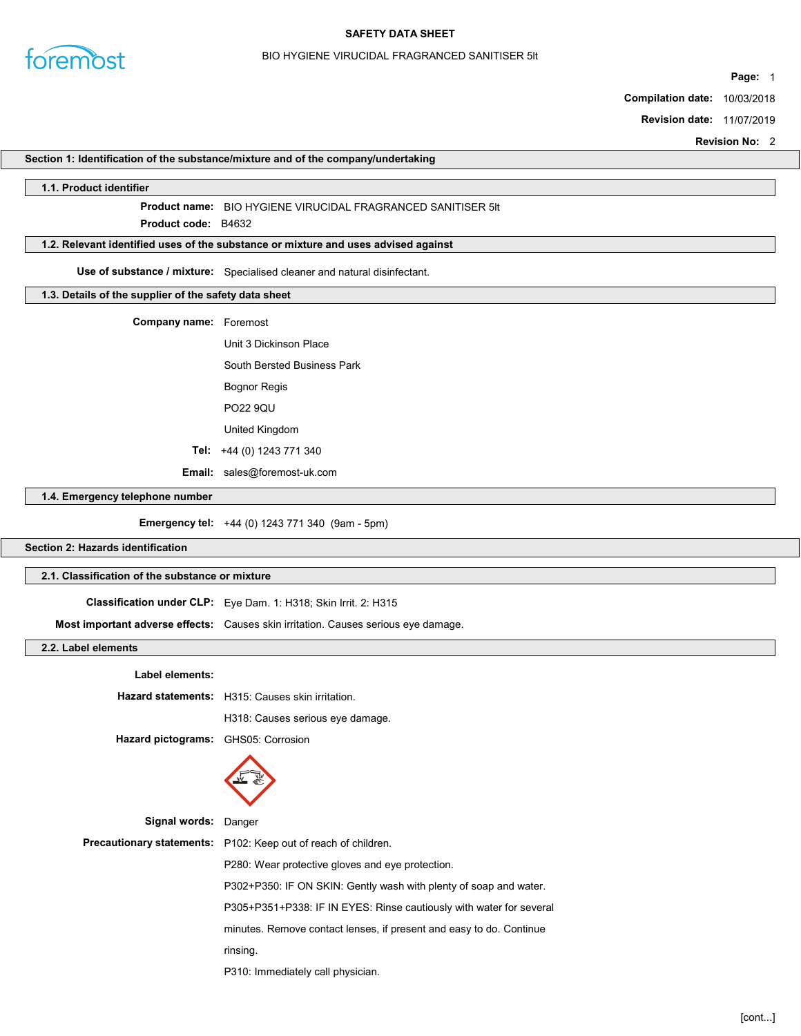

### BIO HYGIENE VIRUCIDAL FRAGRANCED SANITISER 5lt

Page: 1

Compilation date: 10/03/2018

Revision date: 11/07/2019

Revision No: 2

### Section 1: Identification of the substance/mixture and of the company/undertaking

### 1.1. Product identifier

Product name: BIO HYGIENE VIRUCIDAL FRAGRANCED SANITISER 5lt

Product **code**: B4632

### 1.2. Relevant identified uses of the substance or mixture and uses advised against

Use of substance / mixture: Specialised cleaner and natural disinfectant.

### 1.3. Details of the supplier of the safety data sheet

Company name: Foremost

Unit 3 Dickinson Place

South Bersted Business Park

Bognor Regis

PO22 9QU

United Kingdom

Tel: +44 (0) 1243 771 340

Email: sales@foremost-uk.com

## 1.4. Emergency telephone number

Emergency tel: +44 (0) 1243 771 340 (9am - 5pm)

# Section 2: Hazards identification

### 2.1. Classification of the substance or mixture

Classification under CLP: Eye Dam. 1: H318; Skin Irrit. 2: H315 Most important adverse effects: Causes skin irritation. Causes serious eye damage.

## 2.2. Label elements

| Label elements:           |                                                                       |  |  |
|---------------------------|-----------------------------------------------------------------------|--|--|
|                           | Hazard statements: H315: Causes skin irritation.                      |  |  |
|                           | H318: Causes serious eye damage.                                      |  |  |
| <b>Hazard pictograms:</b> | GHS05: Corrosion                                                      |  |  |
|                           |                                                                       |  |  |
| Signal words: Danger      |                                                                       |  |  |
|                           | <b>Precautionary statements:</b> P102: Keep out of reach of children. |  |  |
|                           | P280: Wear protective gloves and eye protection.                      |  |  |
|                           | P302+P350: IF ON SKIN: Gently wash with plenty of soap and water.     |  |  |
|                           | P305+P351+P338: IF IN EYES: Rinse cautiously with water for several   |  |  |
|                           | minutes. Remove contact lenses, if present and easy to do. Continue   |  |  |
|                           | rinsing.                                                              |  |  |
|                           | P310: Immediately call physician.                                     |  |  |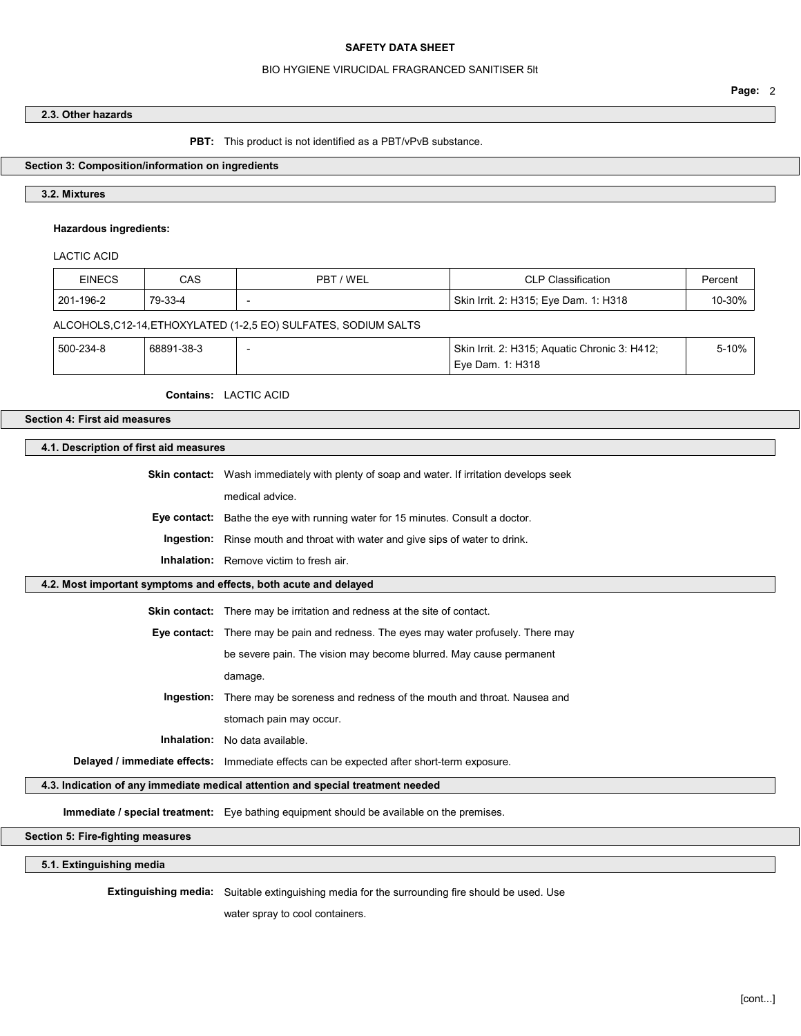#### BIO HYGIENE VIRUCIDAL FRAGRANCED SANITISER 5lt

## 2.3. Other hazards

#### PBT: This product is not identified as a PBT/vPvB substance.

### Section 3: Composition/information on ingredients

### 3.2. Mixtures

### Hazardous ingredients:

## LACTIC ACID

| <b>EINECS</b>                                                   | CAS        | PBT / WEL | <b>CLP Classification</b>                     | Percent |  |  |  |
|-----------------------------------------------------------------|------------|-----------|-----------------------------------------------|---------|--|--|--|
| 201-196-2                                                       | 79-33-4    |           | Skin Irrit. 2: H315; Eye Dam. 1: H318         | 10-30%  |  |  |  |
| ALCOHOLS, C12-14, ETHOXYLATED (1-2,5 EO) SULFATES, SODIUM SALTS |            |           |                                               |         |  |  |  |
| 500-234-8                                                       | 68891-38-3 |           | Skin Irrit. 2: H315; Aquatic Chronic 3: H412; | 5-10%   |  |  |  |
|                                                                 |            |           | Eve Dam. 1: H318                              |         |  |  |  |

### Contains: LACTIC ACID

# Section 4: First aid measures

#### 4.1. Description of first aid measures

Skin contact: Wash immediately with plenty of soap and water. If irritation develops seek

medical advice.

Eye contact: Bathe the eye with running water for 15 minutes. Consult a doctor.

Ingestion: Rinse mouth and throat with water and give sips of water to drink.

Inhalation: Remove victim to fresh air.

### 4.2. Most important symptoms and effects, both acute and delayed

Skin contact: There may be irritation and redness at the site of contact.

Eye contact: There may be pain and redness. The eyes may water profusely. There may

be severe pain. The vision may become blurred. May cause permanent

damage.

Ingestion: There may be soreness and redness of the mouth and throat. Nausea and stomach pain may occur.

Inhalation: No data available.

Delayed / immediate effects: Immediate effects can be expected after short-term exposure.

### 4.3. Indication of any immediate medical attention and special treatment needed

Immediate / special treatment: Eye bathing equipment should be available on the premises.

Section 5: Fire-fighting measures

5.1. Extinguishing media

Extinguishing media: Suitable extinguishing media for the surrounding fire should be used. Use

water spray to cool containers.

Page: 2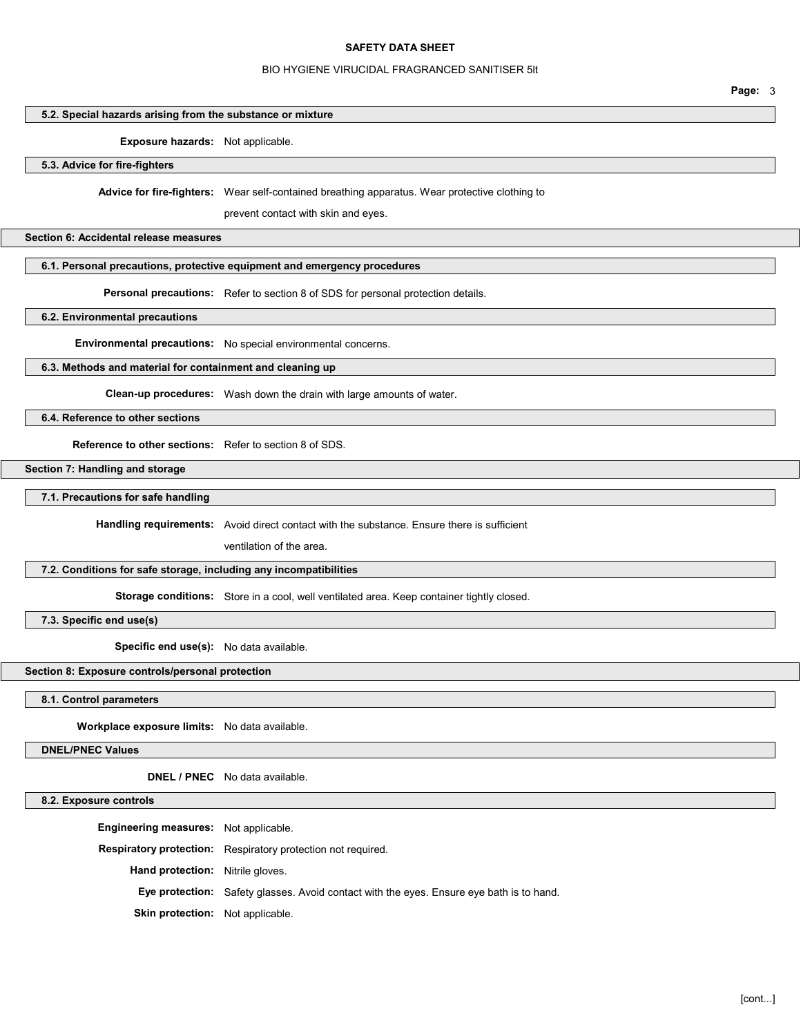#### BIO HYGIENE VIRUCIDAL FRAGRANCED SANITISER 5lt

Page: 3

## 5.2. Special hazards arising from the substance or mixture

#### Exposure hazards: Not applicable.

5.3. Advice for fire-fighters

Advice for fire-fighters: Wear self-contained breathing apparatus. Wear protective clothing to

prevent contact with skin and eyes.

#### Section 6: Accidental release measures

## 6.1. Personal precautions, protective equipment and emergency procedures

Personal precautions: Refer to section 8 of SDS for personal protection details.

6.2. Environmental precautions

Environmental precautions: No special environmental concerns.

## 6.3. Methods and material for containment and cleaning up

Clean-up procedures: Wash down the drain with large amounts of water.

6.4. Reference to other sections

Reference to other sections: Refer to section 8 of SDS.

Section 7: Handling and storage

7.1. Precautions for safe handling

Handling requirements: Avoid direct contact with the substance. Ensure there is sufficient

ventilation of the area.

#### 7.2. Conditions for safe storage, including any incompatibilities

Storage conditions: Store in a cool, well ventilated area. Keep container tightly closed.

7.3. Specific end use(s)

Specific end use(s): No data available.

# Section 8: Exposure controls/personal protection

#### 8.1. Control parameters

Workplace exposure limits: No data available.

DNEL/PNEC Values

DNEL / PNEC No data available.

### 8.2. Exposure controls

Engineering measures: Not applicable. Respiratory protection: Respiratory protection not required. Hand protection: Nitrile gloves. Eye protection: Safety glasses. Avoid contact with the eyes. Ensure eye bath is to hand. Skin protection: Not applicable.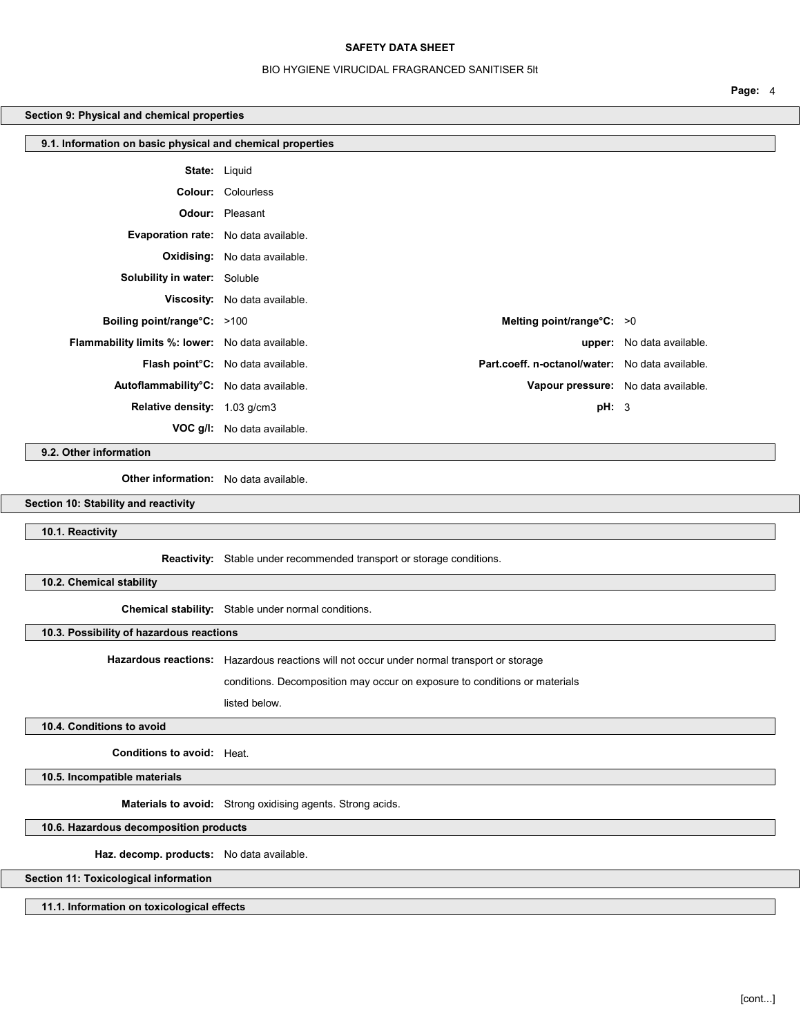### BIO HYGIENE VIRUCIDAL FRAGRANCED SANITISER 5lt

Page: 4

## Section 9: Physical and chemical properties

| 9.1. Information on basic physical and chemical properties |                                                                                                   |                                  |  |  |
|------------------------------------------------------------|---------------------------------------------------------------------------------------------------|----------------------------------|--|--|
| <b>State: Liquid</b>                                       |                                                                                                   |                                  |  |  |
|                                                            | <b>Colour:</b> Colourless                                                                         |                                  |  |  |
|                                                            | <b>Odour:</b> Pleasant                                                                            |                                  |  |  |
| Evaporation rate: No data available.                       |                                                                                                   |                                  |  |  |
|                                                            | <b>Oxidising:</b> No data available.                                                              |                                  |  |  |
| <b>Solubility in water:</b> Soluble                        |                                                                                                   |                                  |  |  |
|                                                            | Viscosity: No data available.                                                                     |                                  |  |  |
| Boiling point/range $\textdegree$ C: >100                  | Melting point/range $°C: >0$                                                                      |                                  |  |  |
| Flammability limits %: lower: No data available.           |                                                                                                   | <b>upper:</b> No data available. |  |  |
|                                                            | Part.coeff. n-octanol/water: No data available.<br>Flash point <sup>o</sup> C: No data available. |                                  |  |  |
| Autoflammability°C: No data available.                     | Vapour pressure: No data available.                                                               |                                  |  |  |
| Relative density: 1.03 g/cm3                               | pH: 3                                                                                             |                                  |  |  |
|                                                            | <b>VOC g/l:</b> No data available.                                                                |                                  |  |  |

9.2. Other information

Other information: No data available.

Section 10: Stability and reactivity

10.1. Reactivity

Reactivity: Stable under recommended transport or storage conditions.

10.2. Chemical stability

Chemical stability: Stable under normal conditions.

10.3. Possibility of hazardous reactions

Hazardous reactions: Hazardous reactions will not occur under normal transport or storage

conditions. Decomposition may occur on exposure to conditions or materials

listed below.

### 10.4. Conditions to avoid

Conditions to avoid: Heat.

10.5. Incompatible materials

Materials to avoid: Strong oxidising agents. Strong acids.

10.6. Hazardous decomposition products

Haz. decomp. products: No data available.

Section 11: Toxicological information

11.1. Information on toxicological effects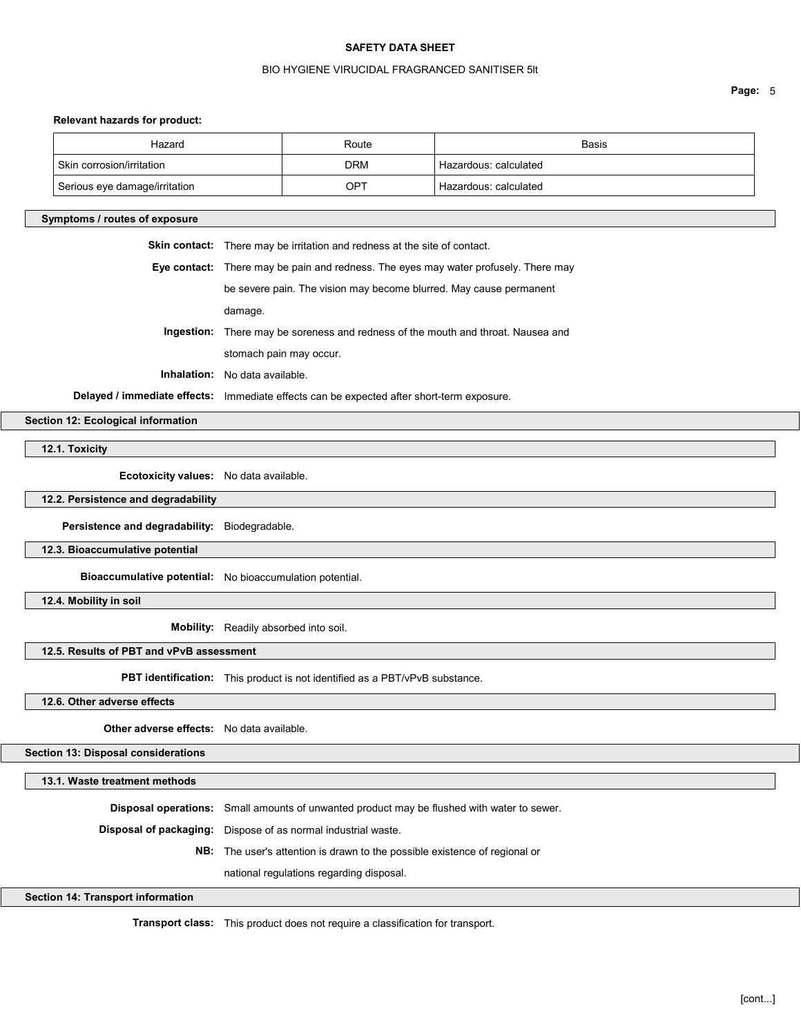## BIO HYGIENE VIRUCIDAL FRAGRANCED SANITISER 5lt

Page: 5

#### Relevant hazards for product:

| Relevant nazards for product:                    |                                                                                            |                                                                    |                                                                                  |  |
|--------------------------------------------------|--------------------------------------------------------------------------------------------|--------------------------------------------------------------------|----------------------------------------------------------------------------------|--|
| Hazard                                           |                                                                                            | Route                                                              | Basis                                                                            |  |
| Skin corrosion/irritation                        |                                                                                            | <b>DRM</b>                                                         | Hazardous: calculated                                                            |  |
| Serious eye damage/irritation                    |                                                                                            | OPT                                                                | Hazardous: calculated                                                            |  |
| Symptoms / routes of exposure                    |                                                                                            |                                                                    |                                                                                  |  |
|                                                  | Skin contact: There may be irritation and redness at the site of contact.                  |                                                                    |                                                                                  |  |
|                                                  | Eye contact: There may be pain and redness. The eyes may water profusely. There may        |                                                                    |                                                                                  |  |
|                                                  |                                                                                            | be severe pain. The vision may become blurred. May cause permanent |                                                                                  |  |
|                                                  | damage.                                                                                    |                                                                    |                                                                                  |  |
|                                                  |                                                                                            |                                                                    | Ingestion: There may be soreness and redness of the mouth and throat. Nausea and |  |
|                                                  |                                                                                            | stomach pain may occur.                                            |                                                                                  |  |
|                                                  | <b>Inhalation:</b> No data available.                                                      |                                                                    |                                                                                  |  |
|                                                  | Delayed / immediate effects: Immediate effects can be expected after short-term exposure.  |                                                                    |                                                                                  |  |
| Section 12: Ecological information               |                                                                                            |                                                                    |                                                                                  |  |
| 12.1. Toxicity                                   |                                                                                            |                                                                    |                                                                                  |  |
| Ecotoxicity values: No data available.           |                                                                                            |                                                                    |                                                                                  |  |
| 12.2. Persistence and degradability              |                                                                                            |                                                                    |                                                                                  |  |
| Persistence and degradability: Biodegradable.    |                                                                                            |                                                                    |                                                                                  |  |
| 12.3. Bioaccumulative potential                  |                                                                                            |                                                                    |                                                                                  |  |
|                                                  | Bioaccumulative potential: No bioaccumulation potential.                                   |                                                                    |                                                                                  |  |
| 12.4. Mobility in soil                           |                                                                                            |                                                                    |                                                                                  |  |
|                                                  | Mobility: Readily absorbed into soil.                                                      |                                                                    |                                                                                  |  |
| 12.5. Results of PBT and vPvB assessment         |                                                                                            |                                                                    |                                                                                  |  |
|                                                  | PBT identification: This product is not identified as a PBT/vPvB substance.                |                                                                    |                                                                                  |  |
| 12.6. Other adverse effects                      |                                                                                            |                                                                    |                                                                                  |  |
| <b>Other adverse effects:</b> No data available. |                                                                                            |                                                                    |                                                                                  |  |
| Section 13: Disposal considerations              |                                                                                            |                                                                    |                                                                                  |  |
| 13.1. Waste treatment methods                    |                                                                                            |                                                                    |                                                                                  |  |
|                                                  | Disposal operations: Small amounts of unwanted product may be flushed with water to sewer. |                                                                    |                                                                                  |  |

Disposal of packaging: Dispose of as normal industrial waste.

NB: The user's attention is drawn to the possible existence of regional or

national regulations regarding disposal.

Section 14: Transport information

Transport class: This product does not require a classification for transport.